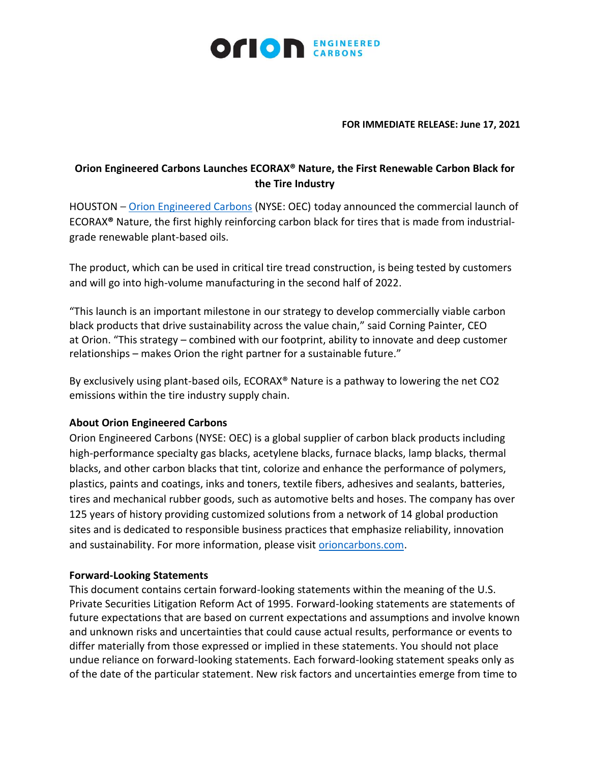

## **FOR IMMEDIATE RELEASE: June 17, 2021**

## **Orion Engineered Carbons Launches ECORAX® Nature, the First Renewable Carbon Black for the Tire Industry**

HOUSTON – [Orion Engineered Carbons](https://www.orioncarbons.com/index_en.php) (NYSE: OEC) today announced the commercial launch of ECORAX**®** Nature, the first highly reinforcing carbon black for tires that is made from industrialgrade renewable plant-based oils.

The product, which can be used in critical tire tread construction, is being tested by customers and will go into high-volume manufacturing in the second half of 2022.

"This launch is an important milestone in our strategy to develop commercially viable carbon black products that drive sustainability across the value chain," said Corning Painter, CEO at Orion. "This strategy – combined with our footprint, ability to innovate and deep customer relationships – makes Orion the right partner for a sustainable future."

By exclusively using plant-based oils, ECORAX® Nature is a pathway to lowering the net CO2 emissions within the tire industry supply chain.

## **About Orion Engineered Carbons**

Orion Engineered Carbons (NYSE: OEC) is a global supplier of carbon black products including high-performance specialty gas blacks, acetylene blacks, furnace blacks, lamp blacks, thermal blacks, and other carbon blacks that tint, colorize and enhance the performance of polymers, plastics, paints and coatings, inks and toners, textile fibers, adhesives and sealants, batteries, tires and mechanical rubber goods, such as automotive belts and hoses. The company has over 125 years of history providing customized solutions from a network of 14 global production sites and is dedicated to responsible business practices that emphasize reliability, innovation and sustainability. For more information, please visit [orioncarbons.com.](https://www.orioncarbons.com/index_en.php)

## **Forward-Looking Statements**

This document contains certain forward-looking statements within the meaning of the U.S. Private Securities Litigation Reform Act of 1995. Forward-looking statements are statements of future expectations that are based on current expectations and assumptions and involve known and unknown risks and uncertainties that could cause actual results, performance or events to differ materially from those expressed or implied in these statements. You should not place undue reliance on forward-looking statements. Each forward-looking statement speaks only as of the date of the particular statement. New risk factors and uncertainties emerge from time to